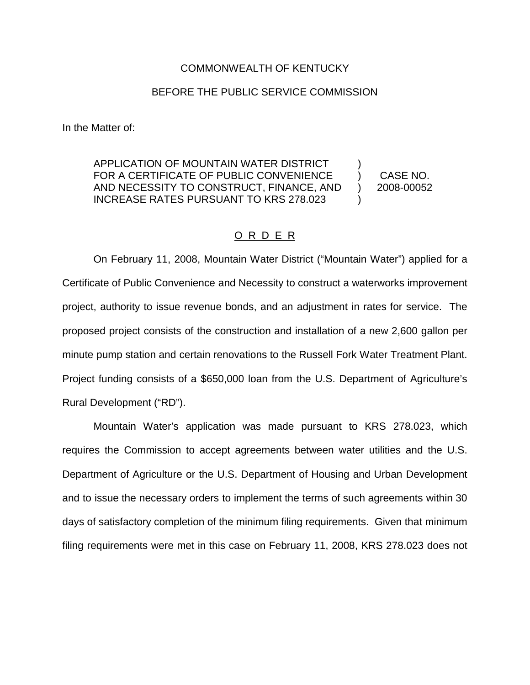#### COMMONWEALTH OF KENTUCKY

#### BEFORE THE PUBLIC SERVICE COMMISSION

In the Matter of:

APPLICATION OF MOUNTAIN WATER DISTRICT FOR A CERTIFICATE OF PUBLIC CONVENIENCE AND NECESSITY TO CONSTRUCT, FINANCE, AND INCREASE RATES PURSUANT TO KRS 278.023  $\mathcal{L}$ 

CASE NO. 2008-00052

) )

)

### O R D E R

On February 11, 2008, Mountain Water District ("Mountain Water") applied for a Certificate of Public Convenience and Necessity to construct a waterworks improvement project, authority to issue revenue bonds, and an adjustment in rates for service. The proposed project consists of the construction and installation of a new 2,600 gallon per minute pump station and certain renovations to the Russell Fork Water Treatment Plant. Project funding consists of a \$650,000 loan from the U.S. Department of Agriculture's Rural Development ("RD").

Mountain Water's application was made pursuant to KRS 278.023, which requires the Commission to accept agreements between water utilities and the U.S. Department of Agriculture or the U.S. Department of Housing and Urban Development and to issue the necessary orders to implement the terms of such agreements within 30 days of satisfactory completion of the minimum filing requirements. Given that minimum filing requirements were met in this case on February 11, 2008, KRS 278.023 does not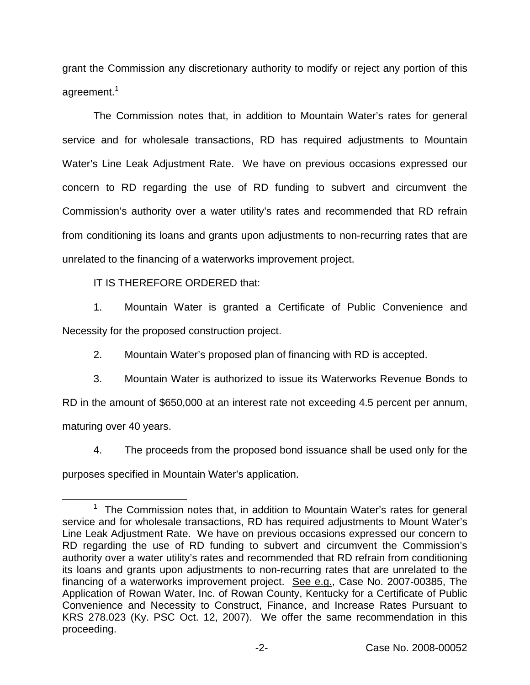grant the Commission any discretionary authority to modify or reject any portion of this agreement.<sup>1</sup>

The Commission notes that, in addition to Mountain Water's rates for general service and for wholesale transactions, RD has required adjustments to Mountain Water's Line Leak Adjustment Rate. We have on previous occasions expressed our concern to RD regarding the use of RD funding to subvert and circumvent the Commission's authority over a water utility's rates and recommended that RD refrain from conditioning its loans and grants upon adjustments to non-recurring rates that are unrelated to the financing of a waterworks improvement project.

IT IS THEREFORE ORDERED that:

1. Mountain Water is granted a Certificate of Public Convenience and Necessity for the proposed construction project.

2. Mountain Water's proposed plan of financing with RD is accepted.

3. Mountain Water is authorized to issue its Waterworks Revenue Bonds to RD in the amount of \$650,000 at an interest rate not exceeding 4.5 percent per annum, maturing over 40 years.

4. The proceeds from the proposed bond issuance shall be used only for the purposes specified in Mountain Water's application.

The Commission notes that, in addition to Mountain Water's rates for general service and for wholesale transactions, RD has required adjustments to Mount Water's Line Leak Adjustment Rate. We have on previous occasions expressed our concern to RD regarding the use of RD funding to subvert and circumvent the Commission's authority over a water utility's rates and recommended that RD refrain from conditioning its loans and grants upon adjustments to non-recurring rates that are unrelated to the financing of a waterworks improvement project. See e.g., Case No. 2007-00385, The Application of Rowan Water, Inc. of Rowan County, Kentucky for a Certificate of Public Convenience and Necessity to Construct, Finance, and Increase Rates Pursuant to KRS 278.023 (Ky. PSC Oct. 12, 2007). We offer the same recommendation in this proceeding.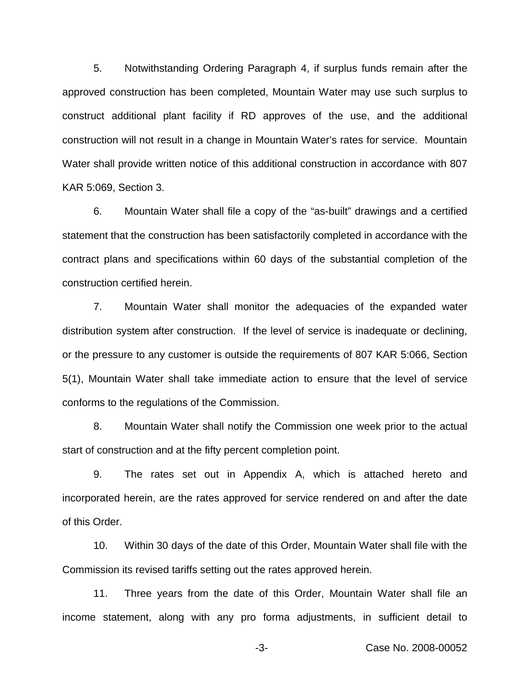5. Notwithstanding Ordering Paragraph 4, if surplus funds remain after the approved construction has been completed, Mountain Water may use such surplus to construct additional plant facility if RD approves of the use, and the additional construction will not result in a change in Mountain Water's rates for service. Mountain Water shall provide written notice of this additional construction in accordance with 807 KAR 5:069, Section 3.

6. Mountain Water shall file a copy of the "as-built" drawings and a certified statement that the construction has been satisfactorily completed in accordance with the contract plans and specifications within 60 days of the substantial completion of the construction certified herein.

7. Mountain Water shall monitor the adequacies of the expanded water distribution system after construction. If the level of service is inadequate or declining, or the pressure to any customer is outside the requirements of 807 KAR 5:066, Section 5(1), Mountain Water shall take immediate action to ensure that the level of service conforms to the regulations of the Commission.

8. Mountain Water shall notify the Commission one week prior to the actual start of construction and at the fifty percent completion point.

9. The rates set out in Appendix A, which is attached hereto and incorporated herein, are the rates approved for service rendered on and after the date of this Order.

10. Within 30 days of the date of this Order, Mountain Water shall file with the Commission its revised tariffs setting out the rates approved herein.

11. Three years from the date of this Order, Mountain Water shall file an income statement, along with any pro forma adjustments, in sufficient detail to

-3- Case No. 2008-00052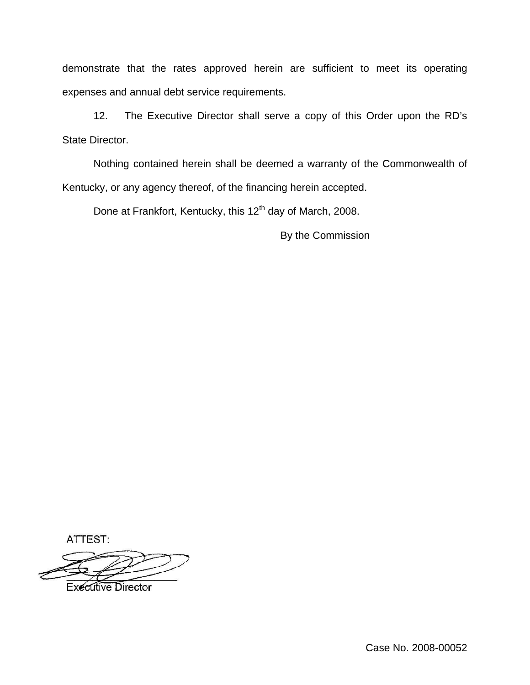demonstrate that the rates approved herein are sufficient to meet its operating expenses and annual debt service requirements.

12. The Executive Director shall serve a copy of this Order upon the RD's State Director.

Nothing contained herein shall be deemed a warranty of the Commonwealth of Kentucky, or any agency thereof, of the financing herein accepted.

Done at Frankfort, Kentucky, this 12<sup>th</sup> day of March, 2008.

By the Commission

ATTEST:

**Executive Director** 

Case No. 2008-00052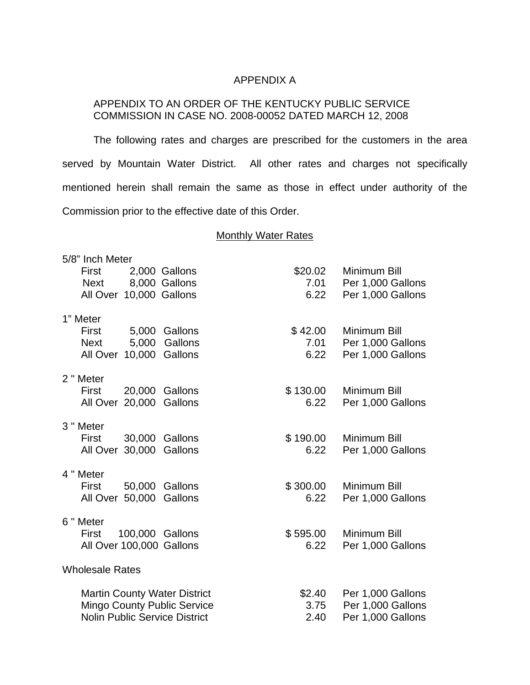# APPENDIX A

# APPENDIX TO AN ORDER OF THE KENTUCKY PUBLIC SERVICE COMMISSION IN CASE NO. 2008-00052 DATED MARCH 12, 2008

The following rates and charges are prescribed for the customers in the area served by Mountain Water District. All other rates and charges not specifically mentioned herein shall remain the same as those in effect under authority of the Commission prior to the effective date of this Order.

## **Monthly Water Rates**

| 5/8" Inch Meter        |                                               |  |                                      |                  |                   |
|------------------------|-----------------------------------------------|--|--------------------------------------|------------------|-------------------|
|                        | First                                         |  | 2,000 Gallons                        | \$20.02          | Minimum Bill      |
|                        | Next                                          |  | 8,000 Gallons                        | 7.01             | Per 1,000 Gallons |
|                        | All Over 10,000 Gallons                       |  |                                      | 6.22             | Per 1,000 Gallons |
| 1" Meter               |                                               |  |                                      |                  |                   |
|                        | First                                         |  | 5,000 Gallons                        | \$42.00          | Minimum Bill      |
|                        | <b>Next</b>                                   |  | 5,000 Gallons                        | 7.01             | Per 1,000 Gallons |
|                        | All Over 10,000 Gallons                       |  |                                      | 6.22             | Per 1,000 Gallons |
|                        |                                               |  |                                      |                  |                   |
|                        | 2 " Meter                                     |  |                                      |                  |                   |
|                        | First                                         |  | 20,000 Gallons                       | \$130.00         | Minimum Bill      |
|                        | All Over 20,000 Gallons                       |  |                                      | 6.22             | Per 1,000 Gallons |
|                        |                                               |  |                                      |                  |                   |
|                        | 3 " Meter                                     |  |                                      |                  |                   |
|                        | First<br>All Over 30,000 Gallons              |  | 30,000 Gallons                       | \$190.00<br>6.22 | Minimum Bill      |
|                        |                                               |  |                                      |                  | Per 1,000 Gallons |
|                        | 4 " Meter                                     |  |                                      |                  |                   |
|                        | First                                         |  | 50,000 Gallons                       | \$300.00         | Minimum Bill      |
|                        | All Over 50,000 Gallons                       |  |                                      | 6.22             | Per 1,000 Gallons |
|                        |                                               |  |                                      |                  |                   |
|                        | 6 " Meter                                     |  |                                      |                  |                   |
|                        | First                                         |  | 100,000 Gallons                      | \$595.00         | Minimum Bill      |
|                        | All Over 100,000 Gallons                      |  |                                      | 6.22             | Per 1,000 Gallons |
| <b>Wholesale Rates</b> |                                               |  |                                      |                  |                   |
|                        |                                               |  |                                      |                  |                   |
|                        | <b>Martin County Water District</b><br>\$2.40 |  |                                      |                  | Per 1,000 Gallons |
|                        | <b>Mingo County Public Service</b>            |  | Per 1,000 Gallons<br>3.75            |                  |                   |
|                        |                                               |  | <b>Nolin Public Service District</b> | 2.40             | Per 1,000 Gallons |
|                        |                                               |  |                                      |                  |                   |